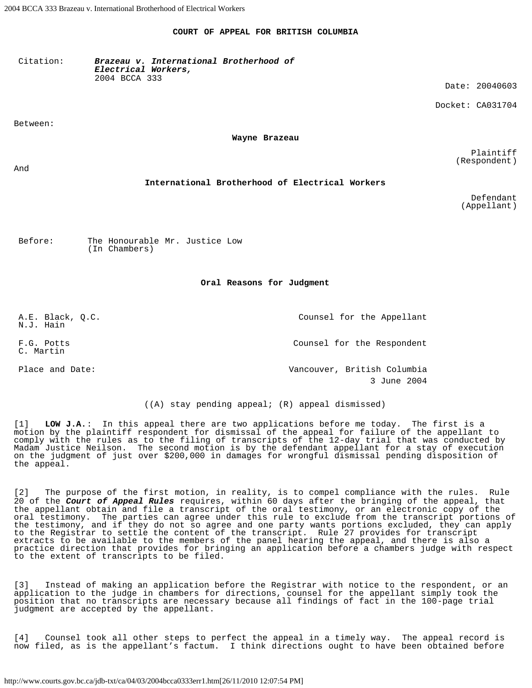## **COURT OF APPEAL FOR BRITISH COLUMBIA**

Citation: *Brazeau v. International Brotherhood of Electrical Workers,* 2004 BCCA 333

Between:

**Wayne Brazeau**

Plaintiff (Respondent)

Date: 20040603

Docket: CA031704

And

## **International Brotherhood of Electrical Workers**

Defendant (Appellant)

Before: The Honourable Mr. Justice Low (In Chambers)

## **Oral Reasons for Judgment**

A.E. Black, Q.C. N.J. Hain Counsel for the Appellant F.G. Potts C. Martin Counsel for the Respondent Place and Date:  $V = V \cdot V$  Vancouver, British Columbia 3 June 2004

((A) stay pending appeal; (R) appeal dismissed)

[1] **LOW J.A.**: In this appeal there are two applications before me today. The first is a motion by the plaintiff respondent for dismissal of the appeal for failure of the appellant to comply with the rules as to the filing of transcripts of the 12-day trial that was conducted by Madam Justice Neilson. The second motion is by the defendant appellant for a stay of execution on the judgment of just over \$200,000 in damages for wrongful dismissal pending disposition of the appeal.

[2] The purpose of the first motion, in reality, is to compel compliance with the rules. Rule 20 of the *Court of Appeal Rules* requires, within 60 days after the bringing of the appeal, that the appellant obtain and file a transcript of the oral testimony, or an electronic copy of the oral testimony. The parties can agree under this rule to exclude from the transcript portions of the testimony, and if they do not so agree and one party wants portions excluded, they can apply to the Registrar to settle the content of the transcript. Rule 27 provides for transcript extracts to be available to the members of the panel hearing the appeal, and there is also a practice direction that provides for bringing an application before a chambers judge with respect to the extent of transcripts to be filed.

[3] Instead of making an application before the Registrar with notice to the respondent, or an application to the judge in chambers for directions, counsel for the appellant simply took the position that no transcripts are necessary because all findings of fact in the 100-page trial judgment are accepted by the appellant.

[4] Counsel took all other steps to perfect the appeal in a timely way. The appeal record is now filed, as is the appellant's factum. I think directions ought to have been obtained before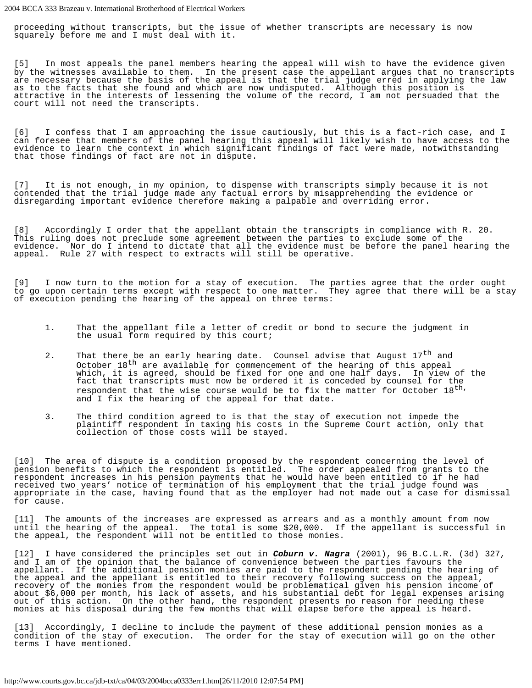proceeding without transcripts, but the issue of whether transcripts are necessary is now squarely before me and I must deal with it.

[5] In most appeals the panel members hearing the appeal will wish to have the evidence given by the witnesses available to them. In the present case the appellant argues that no transcripts are necessary because the basis of the appeal is that the trial judge erred in applying the law as to the facts that she found and which are now undisputed. Although this position is attractive in the interests of lessening the volume of the record, I am not persuaded that the court will not need the transcripts.

[6] I confess that I am approaching the issue cautiously, but this is a fact-rich case, and I can foresee that members of the panel hearing this appeal will likely wish to have access to the evidence to learn the context in which significant findings of fact were made, notwithstanding that those findings of fact are not in dispute.

[7] It is not enough, in my opinion, to dispense with transcripts simply because it is not contended that the trial judge made any factual errors by misapprehending the evidence or disregarding important evidence therefore making a palpable and overriding error.

[8] Accordingly I order that the appellant obtain the transcripts in compliance with R. 20. This ruling does not preclude some agreement between the parties to exclude some of the evidence. Nor do I intend to dictate that all the evidence must be before the panel hearing the appeal. Rule 27 with respect to extracts will still be operative.

[9] I now turn to the motion for a stay of execution. The parties agree that the order ought to go upon certain terms except with respect to one matter. They agree that there will be a stay of execution pending the hearing of the appeal on three terms:

- 1. That the appellant file a letter of credit or bond to secure the judgment in the usual form required by this court;
- 2. That there be an early hearing date. Counsel advise that August 17<sup>th</sup> and October 18<sup>th</sup> are available for commencement of the hearing of this appeal which, it is agreed, should be fixed for one and one half days. In view of the fact that transcripts must now be ordered it is conceded by counsel for the respondent that the wise course would be to fix the matter for October 18<sup>th,</sup> and I fix the hearing of the appeal for that date.
- 3. The third condition agreed to is that the stay of execution not impede the plaintiff respondent in taxing his costs in the Supreme Court action, only that collection of those costs will be stayed.

[10] The area of dispute is a condition proposed by the respondent concerning the level of pension benefits to which the respondent is entitled. The order appealed from grants to the respondent increases in his pension payments that he would have been entitled to if he had received two years' notice of termination of his employment that the trial judge found was appropriate in the case, having found that as the employer had not made out a case for dismissal for cause.

[11] The amounts of the increases are expressed as arrears and as a monthly amount from now until the hearing of the appeal. The total is some \$20,000. If the appellant is successful in the appeal, the respondent will not be entitled to those monies.

[12] I have considered the principles set out in *Coburn v. Nagra* (2001), 96 B.C.L.R. (3d) 327, and I am of the opinion that the balance of convenience between the parties favours the appellant. If the additional pension monies are paid to the respondent pending the hearing of the appeal and the appellant is entitled to their recovery following success on the appeal, recovery of the monies from the respondent would be problematical given his pension income of about \$6,000 per month, his lack of assets, and his substantial debt for legal expenses arising out of this action. On the other hand, the respondent presents no reason for needing these monies at his disposal during the few months that will elapse before the appeal is heard.

[13] Accordingly, I decline to include the payment of these additional pension monies as a condition of the stay of execution. The order for the stay of execution will go on the other terms I have mentioned.